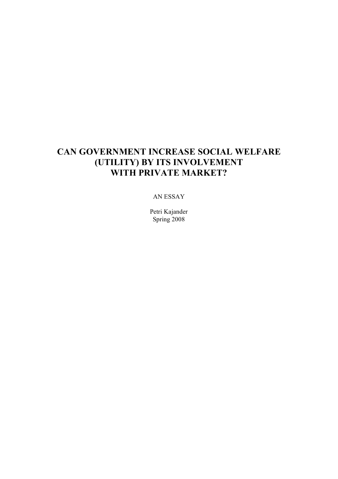# **CAN GOVERNMENT INCREASE SOCIAL WELFARE (UTILITY) BY ITS INVOLVEMENT WITH PRIVATE MARKET?**

#### AN ESSAY

Petri Kajander Spring 2008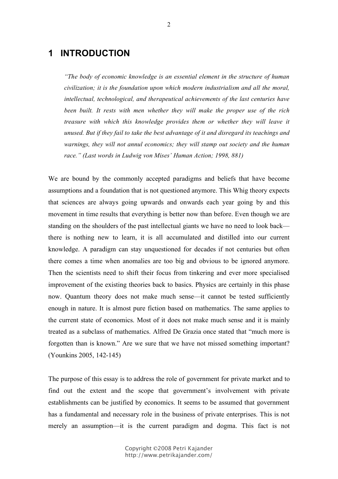## **1 INTRODUCTION**

*"The body of economic knowledge is an essential element in the structure of human civilization; it is the foundation upon which modern industrialism and all the moral, intellectual, technological, and therapeutical achievements of the last centuries have been built. It rests with men whether they will make the proper use of the rich treasure with which this knowledge provides them or whether they will leave it unused. But if they fail to take the best advantage of it and disregard its teachings and warnings, they will not annul economics; they will stamp out society and the human race." (Last words in Ludwig von Mises' Human Action; 1998, 881)*

We are bound by the commonly accepted paradigms and beliefs that have become assumptions and a foundation that is not questioned anymore. This Whig theory expects that sciences are always going upwards and onwards each year going by and this movement in time results that everything is better now than before. Even though we are standing on the shoulders of the past intellectual giants we have no need to look back there is nothing new to learn, it is all accumulated and distilled into our current knowledge. A paradigm can stay unquestioned for decades if not centuries but often there comes a time when anomalies are too big and obvious to be ignored anymore. Then the scientists need to shift their focus from tinkering and ever more specialised improvement of the existing theories back to basics. Physics are certainly in this phase now. Quantum theory does not make much sense—it cannot be tested sufficiently enough in nature. It is almost pure fiction based on mathematics. The same applies to the current state of economics. Most of it does not make much sense and it is mainly treated as a subclass of mathematics. Alfred De Grazia once stated that "much more is forgotten than is known." Are we sure that we have not missed something important? (Younkins 2005, 142-145)

The purpose of this essay is to address the role of government for private market and to find out the extent and the scope that government's involvement with private establishments can be justified by economics. It seems to be assumed that government has a fundamental and necessary role in the business of private enterprises. This is not merely an assumption—it is the current paradigm and dogma. This fact is not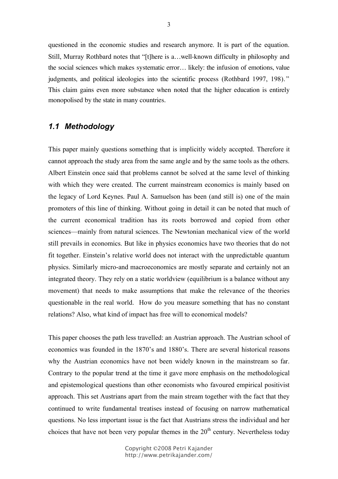questioned in the economic studies and research anymore. It is part of the equation. Still, Murray Rothbard notes that "[t]here is a…well-known difficulty in philosophy and the social sciences which makes systematic error… likely: the infusion of emotions, value judgments, and political ideologies into the scientific process (Rothbard 1997, 198)." This claim gains even more substance when noted that the higher education is entirely monopolised by the state in many countries.

#### *1.1 Methodology*

This paper mainly questions something that is implicitly widely accepted. Therefore it cannot approach the study area from the same angle and by the same tools as the others. Albert Einstein once said that problems cannot be solved at the same level of thinking with which they were created. The current mainstream economics is mainly based on the legacy of Lord Keynes. Paul A. Samuelson has been (and still is) one of the main promoters of this line of thinking. Without going in detail it can be noted that much of the current economical tradition has its roots borrowed and copied from other sciences—mainly from natural sciences. The Newtonian mechanical view of the world still prevails in economics. But like in physics economics have two theories that do not fit together. Einstein's relative world does not interact with the unpredictable quantum physics. Similarly micro-and macroeconomics are mostly separate and certainly not an integrated theory. They rely on a static worldview (equilibrium is a balance without any movement) that needs to make assumptions that make the relevance of the theories questionable in the real world. How do you measure something that has no constant relations? Also, what kind of impact has free will to economical models?

This paper chooses the path less travelled: an Austrian approach. The Austrian school of economics was founded in the 1870's and 1880's. There are several historical reasons why the Austrian economics have not been widely known in the mainstream so far. Contrary to the popular trend at the time it gave more emphasis on the methodological and epistemological questions than other economists who favoured empirical positivist approach. This set Austrians apart from the main stream together with the fact that they continued to write fundamental treatises instead of focusing on narrow mathematical questions. No less important issue is the fact that Austrians stress the individual and her choices that have not been very popular themes in the  $20<sup>th</sup>$  century. Nevertheless today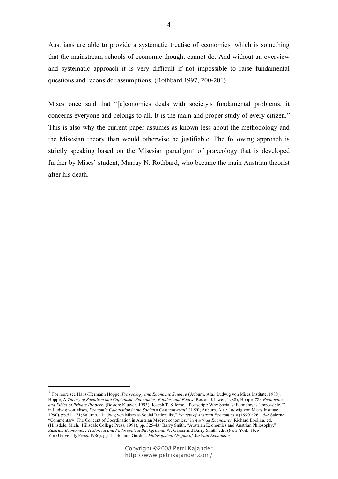Austrians are able to provide a systematic treatise of economics, which is something that the mainstream schools of economic thought cannot do. And without an overview and systematic approach it is very difficult if not impossible to raise fundamental questions and reconsider assumptions. (Rothbard 1997, 200-201)

Mises once said that "[e]conomics deals with society's fundamental problems; it concerns everyone and belongs to all. It is the main and proper study of every citizen." This is also why the current paper assumes as known less about the methodology and the Misesian theory than would otherwise be justifiable. The following approach is strictly speaking based on the Misesian paradigm<sup>1</sup> of praxeology that is developed further by Mises' student, Murray N. Rothbard, who became the main Austrian theorist after his death.

 <sup>1</sup> For more see Hans-Hermann Hoppe, *Praxeology and Economic Science* (Auburn, Ala.: Ludwig von Mises Institute, 1988); Hoppe, A *Theory of Socialism and Capitalism: Economics, Politics, and Ethics* (Boston: Kluwer, 1988); Hoppe, *The Economics and Ethics of Private Properly* (Boston: Kluwer, 1993); Joseph T. Salerno, "Postscript: Why Socialist Economy is 'Impossible,'" in Ludwig von Mises, *Economic Calculation in the Socialist Commonwealth* (1920; Auburn, Ala.: Ludwig von Mises Institute, 1990), pp.51—71; Salerno, "Ludwig von Mises as Social Rationalist," *Review of Austrian Economics 4* (1990): 26—54*;* Salerno, "Commentary: The Concept of Coordination in Austrian Macroeconomics," in *Austrian Economics,* Richard Ebeling, ed. (Hillsdale, Mich.: Hillsdale College Press, 1991), pp. 325-43*;* Barry Smith, "Austrian Economics and Austrian Philosophy," *Austrian Economics: Historical and Philosophical Background,* W. Grassi and Barry Smith, eds. (New York: New YorkUniversity Press, 1986), pp. 1—36; and Gordon, *Philosophical Origins of Austrian Economics.*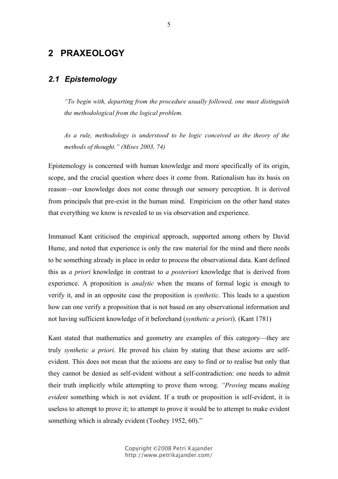## **2 PRAXEOLOGY**

### *2.1 Epistemology*

*"To begin with, departing from the procedure usually followed, one must distinguish the methodological from the logical problem.*

*As a rule, methodology is understood to be logic conceived as the theory of the methods of thought." (Mises 2003, 74)*

Epistemology is concerned with human knowledge and more specifically of its origin, scope, and the crucial question where does it come from. Rationalism has its basis on reason—our knowledge does not come through our sensory perception. It is derived from principals that pre-exist in the human mind. Empiricism on the other hand states that everything we know is revealed to us via observation and experience.

Immanuel Kant criticised the empirical approach, supported among others by David Hume, and noted that experience is only the raw material for the mind and there needs to be something already in place in order to process the observational data. Kant defined this as *a priori* knowledge in contrast to *a posteriori* knowledge that is derived from experience. A proposition is *analytic* when the means of formal logic is enough to verify it, and in an opposite case the proposition is *synthetic*. This leads to a question how can one verify a proposition that is not based on any observational information and not having sufficient knowledge of it beforehand (*synthetic a priori*). (Kant 1781)

Kant stated that mathematics and geometry are examples of this category—they are truly *synthetic a priori*. He proved his claim by stating that these axioms are selfevident. This does not mean that the axioms are easy to find or to realise but only that they cannot be denied as self-evident without a self-contradiction: one needs to admit their truth implicitly while attempting to prove them wrong. *"Proving* means *making evident* something which is not evident. If a truth or proposition is self-evident, it is useless to attempt to prove it; to attempt to prove it would be to attempt to make evident something which is already evident (Toohey 1952, 60)."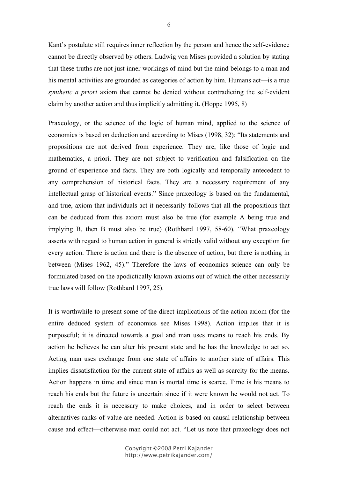Kant's postulate still requires inner reflection by the person and hence the self-evidence cannot be directly observed by others. Ludwig von Mises provided a solution by stating that these truths are not just inner workings of mind but the mind belongs to a man and his mental activities are grounded as categories of action by him. Humans act—is a true *synthetic a priori* axiom that cannot be denied without contradicting the self-evident claim by another action and thus implicitly admitting it. (Hoppe 1995, 8)

Praxeology, or the science of the logic of human mind, applied to the science of economics is based on deduction and according to Mises (1998, 32): "Its statements and propositions are not derived from experience. They are, like those of logic and mathematics, a priori. They are not subject to verification and falsification on the ground of experience and facts. They are both logically and temporally antecedent to any comprehension of historical facts. They are a necessary requirement of any intellectual grasp of historical events." Since praxeology is based on the fundamental, and true, axiom that individuals act it necessarily follows that all the propositions that can be deduced from this axiom must also be true (for example A being true and implying B, then B must also be true) (Rothbard 1997, 58-60). "What praxeology asserts with regard to human action in general is strictly valid without any exception for every action. There is action and there is the absence of action, but there is nothing in between (Mises 1962, 45)." Therefore the laws of economics science can only be formulated based on the apodictically known axioms out of which the other necessarily true laws will follow (Rothbard 1997, 25).

It is worthwhile to present some of the direct implications of the action axiom (for the entire deduced system of economics see Mises 1998). Action implies that it is purposeful; it is directed towards a goal and man uses means to reach his ends. By action he believes he can alter his present state and he has the knowledge to act so. Acting man uses exchange from one state of affairs to another state of affairs. This implies dissatisfaction for the current state of affairs as well as scarcity for the means. Action happens in time and since man is mortal time is scarce. Time is his means to reach his ends but the future is uncertain since if it were known he would not act. To reach the ends it is necessary to make choices, and in order to select between alternatives ranks of value are needed. Action is based on causal relationship between cause and effect—otherwise man could not act. "Let us note that praxeology does not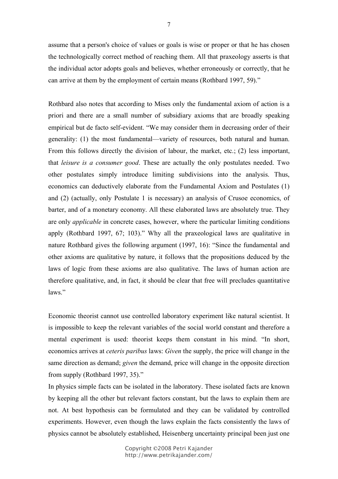assume that a person's choice of values or goals is wise or proper or that he has chosen the technologically correct method of reaching them. All that praxeology asserts is that the individual actor adopts goals and believes, whether erroneously or correctly, that he can arrive at them by the employment of certain means (Rothbard 1997, 59)."

Rothbard also notes that according to Mises only the fundamental axiom of action is a priori and there are a small number of subsidiary axioms that are broadly speaking empirical but de facto self-evident. "We may consider them in decreasing order of their generality: (1) the most fundamental—variety of resources, both natural and human. From this follows directly the division of labour, the market, etc.; (2) less important, that *leisure is a consumer good*. These are actually the only postulates needed. Two other postulates simply introduce limiting subdivisions into the analysis. Thus, economics can deductively elaborate from the Fundamental Axiom and Postulates (1) and (2) (actually, only Postulate 1 is necessary) an analysis of Crusoe economics, of barter, and of a monetary economy. All these elaborated laws are absolutely true. They are only *applicable* in concrete cases, however, where the particular limiting conditions apply (Rothbard 1997, 67; 103)." Why all the praxeological laws are qualitative in nature Rothbard gives the following argument (1997, 16): "Since the fundamental and other axioms are qualitative by nature, it follows that the propositions deduced by the laws of logic from these axioms are also qualitative. The laws of human action are therefore qualitative, and, in fact, it should be clear that free will precludes quantitative laws"

Economic theorist cannot use controlled laboratory experiment like natural scientist. It is impossible to keep the relevant variables of the social world constant and therefore a mental experiment is used: theorist keeps them constant in his mind. "In short, economics arrives at *ceteris paribus* laws: *Given* the supply, the price will change in the same direction as demand; *given* the demand, price will change in the opposite direction from supply (Rothbard 1997, 35)."

In physics simple facts can be isolated in the laboratory. These isolated facts are known by keeping all the other but relevant factors constant, but the laws to explain them are not. At best hypothesis can be formulated and they can be validated by controlled experiments. However, even though the laws explain the facts consistently the laws of physics cannot be absolutely established, Heisenberg uncertainty principal been just one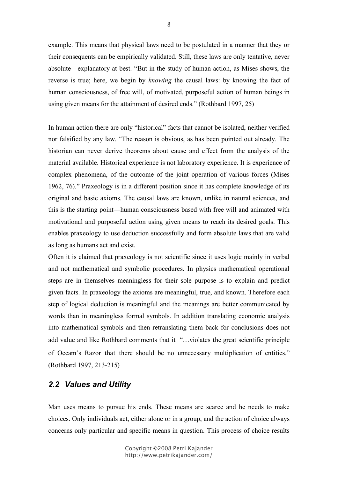example. This means that physical laws need to be postulated in a manner that they or their consequents can be empirically validated. Still, these laws are only tentative, never absolute—explanatory at best. "But in the study of human action, as Mises shows, the reverse is true; here, we begin by *knowing* the causal laws: by knowing the fact of human consciousness, of free will, of motivated, purposeful action of human beings in using given means for the attainment of desired ends." (Rothbard 1997, 25)

In human action there are only "historical" facts that cannot be isolated, neither verified nor falsified by any law. "The reason is obvious, as has been pointed out already. The historian can never derive theorems about cause and effect from the analysis of the material available. Historical experience is not laboratory experience. It is experience of complex phenomena, of the outcome of the joint operation of various forces (Mises 1962, 76)." Praxeology is in a different position since it has complete knowledge of its original and basic axioms. The causal laws are known, unlike in natural sciences, and this is the starting point—human consciousness based with free will and animated with motivational and purposeful action using given means to reach its desired goals. This enables praxeology to use deduction successfully and form absolute laws that are valid as long as humans act and exist.

Often it is claimed that praxeology is not scientific since it uses logic mainly in verbal and not mathematical and symbolic procedures. In physics mathematical operational steps are in themselves meaningless for their sole purpose is to explain and predict given facts. In praxeology the axioms are meaningful, true, and known. Therefore each step of logical deduction is meaningful and the meanings are better communicated by words than in meaningless formal symbols. In addition translating economic analysis into mathematical symbols and then retranslating them back for conclusions does not add value and like Rothbard comments that it "…violates the great scientific principle of Occam's Razor that there should be no unnecessary multiplication of entities." (Rothbard 1997, 213-215)

#### *2.2 Values and Utility*

Man uses means to pursue his ends. These means are scarce and he needs to make choices. Only individuals act, either alone or in a group, and the action of choice always concerns only particular and specific means in question. This process of choice results

8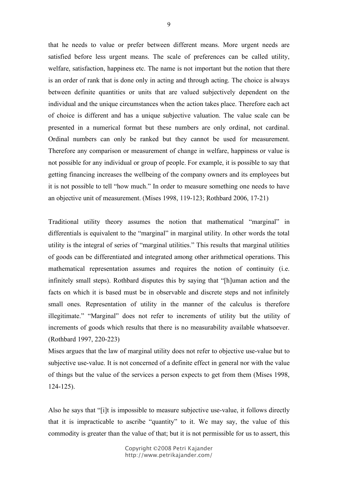that he needs to value or prefer between different means. More urgent needs are satisfied before less urgent means. The scale of preferences can be called utility, welfare, satisfaction, happiness etc. The name is not important but the notion that there is an order of rank that is done only in acting and through acting. The choice is always between definite quantities or units that are valued subjectively dependent on the individual and the unique circumstances when the action takes place. Therefore each act of choice is different and has a unique subjective valuation. The value scale can be presented in a numerical format but these numbers are only ordinal, not cardinal. Ordinal numbers can only be ranked but they cannot be used for measurement. Therefore any comparison or measurement of change in welfare, happiness or value is not possible for any individual or group of people. For example, it is possible to say that getting financing increases the wellbeing of the company owners and its employees but it is not possible to tell "how much." In order to measure something one needs to have an objective unit of measurement. (Mises 1998, 119-123; Rothbard 2006, 17-21)

Traditional utility theory assumes the notion that mathematical "marginal" in differentials is equivalent to the "marginal" in marginal utility. In other words the total utility is the integral of series of "marginal utilities." This results that marginal utilities of goods can be differentiated and integrated among other arithmetical operations. This mathematical representation assumes and requires the notion of continuity (i.e. infinitely small steps). Rothbard disputes this by saying that "[h]uman action and the facts on which it is based must be in observable and discrete steps and not infinitely small ones. Representation of utility in the manner of the calculus is therefore illegitimate." "Marginal" does not refer to increments of utility but the utility of increments of goods which results that there is no measurability available whatsoever. (Rothbard 1997, 220-223)

Mises argues that the law of marginal utility does not refer to objective use-value but to subjective use-value. It is not concerned of a definite effect in general nor with the value of things but the value of the services a person expects to get from them (Mises 1998, 124-125).

Also he says that "[i]t is impossible to measure subjective use-value, it follows directly that it is impracticable to ascribe "quantity" to it. We may say, the value of this commodity is greater than the value of that; but it is not permissible for us to assert, this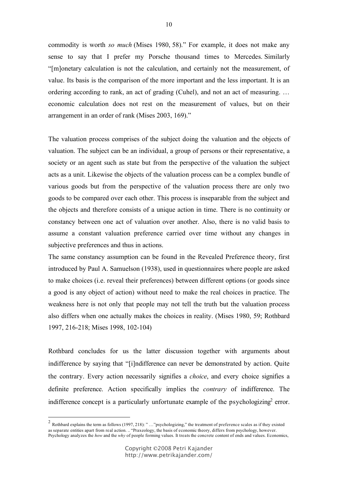commodity is worth *so much* (Mises 1980, 58)." For example, it does not make any sense to say that I prefer my Porsche thousand times to Mercedes. Similarly "[m]onetary calculation is not the calculation, and certainly not the measurement, of value. Its basis is the comparison of the more important and the less important. It is an ordering according to rank, an act of grading (Cuhel), and not an act of measuring. … economic calculation does not rest on the measurement of values, but on their arrangement in an order of rank (Mises 2003, 169)."

The valuation process comprises of the subject doing the valuation and the objects of valuation. The subject can be an individual, a group of persons or their representative, a society or an agent such as state but from the perspective of the valuation the subject acts as a unit. Likewise the objects of the valuation process can be a complex bundle of various goods but from the perspective of the valuation process there are only two goods to be compared over each other. This process is inseparable from the subject and the objects and therefore consists of a unique action in time. There is no continuity or constancy between one act of valuation over another. Also, there is no valid basis to assume a constant valuation preference carried over time without any changes in subjective preferences and thus in actions.

The same constancy assumption can be found in the Revealed Preference theory, first introduced by Paul A. Samuelson (1938), used in questionnaires where people are asked to make choices (i.e. reveal their preferences) between different options (or goods since a good is any object of action) without need to make the real choices in practice. The weakness here is not only that people may not tell the truth but the valuation process also differs when one actually makes the choices in reality. (Mises 1980, 59; Rothbard 1997, 216-218; Mises 1998, 102-104)

Rothbard concludes for us the latter discussion together with arguments about indifference by saying that "[i]ndifference can never be demonstrated by action. Quite the contrary. Every action necessarily signifies a *choice*, and every choice signifies a definite preference. Action specifically implies the *contrary* of indifference. The indifference concept is a particularly unfortunate example of the psychologizing<sup>2</sup> error.

<sup>&</sup>lt;sup>2</sup> Rothbard explains the term as follows (1997, 218): " ... "psychologizing," the treatment of preference scales as if they existed as separate entities apart from real action. .. "Praxeology, the basis of economic theory, differs from psychology, however. Psychology analyzes the *how* and the *why* of people forming values. It treats the concrete content of ends and values. Economics,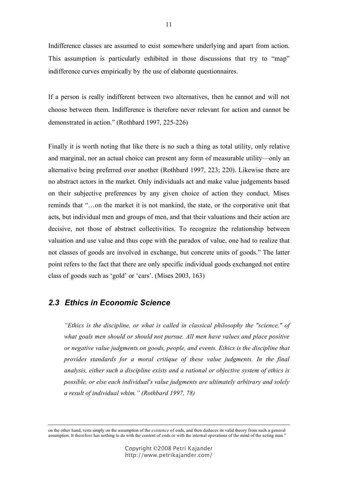Indifference classes are assumed to exist somewhere underlying and apart from action. This assumption is particularly exhibited in those discussions that try to "map" indifference curves empirically by the use of elaborate questionnaires.

If a person is really indifferent between two alternatives, then he cannot and will not choose between them. Indifference is therefore never relevant for action and cannot be demonstrated in action." (Rothbard 1997, 225-226)

Finally it is worth noting that like there is no such a thing as total utility, only relative and marginal, nor an actual choice can present any form of measurable utility—only an alternative being preferred over another (Rothbard 1997, 223; 220). Likewise there are no abstract actors in the market. Only individuals act and make value judgements based on their subjective preferences by any given choice of action they conduct. Mises reminds that "…on the market it is not mankind, the state, or the corporative unit that acts, but individual men and groups of men, and that their valuations and their action are decisive, not those of abstract collectivities. To recognize the relationship between valuation and use value and thus cope with the paradox of value, one had to realize that not classes of goods are involved in exchange, but concrete units of goods." The latter point refers to the fact that there are only specific individual goods exchanged not entire class of goods such as 'gold' or 'cars'. (Mises 2003, 163)

### *2.3 Ethics in Economic Science*

*"Ethics is the discipline, or what is called in classical philosophy the "science," of what goals men should or should not pursue. All men have values and place positive or negative value judgments on goods, people, and events. Ethics is the discipline that provides standards for a moral critique of these value judgments. In the final analysis, either such a discipline exists and a rational or objective system of ethics is possible, or else each individual's value judgments are ultimately arbitrary and solely a result of individual whim." (Rothbard 1997, 78)*

on the other hand, rests simply on the assumption of the *existence* of ends, and then deduces its valid theory from such <sup>a</sup> general assumption. It therefore has nothing to do with the content of ends or with the internal operations of the mind of the acting man."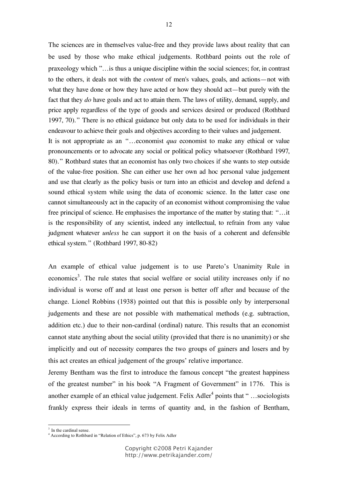The sciences are in themselves value-free and they provide laws about reality that can be used by those who make ethical judgements. Rothbard points out the role of praxeology which "…is thus a unique discipline within the social sciences; for, in contrast to the others, it deals not with the *content* of men's values, goals, and actions—not with what they have done or how they have acted or how they should act—but purely with the fact that they *do* have goals and act to attain them. The laws of utility, demand, supply, and price apply regardless of the type of goods and services desired or produced (Rothbard 1997, 70)." There is no ethical guidance but only data to be used for individuals in their endeavour to achieve their goals and objectives according to their values and judgement.

It is not appropriate as an "…economist *qua* economist to make any ethical or value pronouncements or to advocate any social or political policy whatsoever (Rothbard 1997, 80)." Rothbard states that an economist has only two choices if she wants to step outside of the value-free position. She can either use her own ad hoc personal value judgement and use that clearly as the policy basis or turn into an ethicist and develop and defend a sound ethical system while using the data of economic science. In the latter case one cannot simultaneously act in the capacity of an economist without compromising the value free principal of science. He emphasises the importance of the matter by stating that: "...it is the responsibility of any scientist, indeed any intellectual, to refrain from any value judgment whatever *unless* he can support it on the basis of a coherent and defensible ethical system." (Rothbard 1997, 80-82)

An example of ethical value judgement is to use Pareto's Unanimity Rule in economics<sup>3</sup>. The rule states that social welfare or social utility increases only if no individual is worse off and at least one person is better off after and because of the change. Lionel Robbins (1938) pointed out that this is possible only by interpersonal judgements and these are not possible with mathematical methods (e.g. subtraction, addition etc.) due to their non-cardinal (ordinal) nature. This results that an economist cannot state anything about the social utility (provided that there is no unanimity) or she implicitly and out of necessity compares the two groups of gainers and losers and by this act creates an ethical judgement of the groups' relative importance.

Jeremy Bentham was the first to introduce the famous concept "the greatest happiness of the greatest number" in his book "A Fragment of Government" in 1776. This is another example of an ethical value judgement. Felix Adler<sup>4</sup> points that "...sociologists frankly express their ideals in terms of quantity and, in the fashion of Bentham,

 $3$  In the cardinal sense.

<sup>&</sup>lt;sup>4</sup> According to Rothbard in "Relation of Ethics", p. 673 by Felix Adler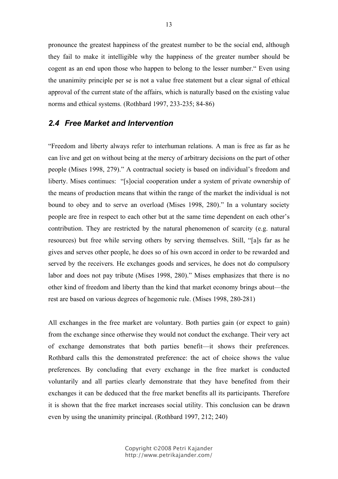pronounce the greatest happiness of the greatest number to be the social end, although they fail to make it intelligible why the happiness of the greater number should be cogent as an end upon those who happen to belong to the lesser number." Even using the unanimity principle per se is not a value free statement but a clear signal of ethical approval of the current state of the affairs, which is naturally based on the existing value norms and ethical systems. (Rothbard 1997, 233-235; 84-86)

## *2.4 Free Market and Intervention*

"Freedom and liberty always refer to interhuman relations. A man is free as far as he can live and get on without being at the mercy of arbitrary decisions on the part of other people (Mises 1998, 279)." A contractual society is based on individual's freedom and liberty. Mises continues: "[s]ocial cooperation under a system of private ownership of the means of production means that within the range of the market the individual is not bound to obey and to serve an overload (Mises 1998, 280)." In a voluntary society people are free in respect to each other but at the same time dependent on each other's contribution. They are restricted by the natural phenomenon of scarcity (e.g. natural resources) but free while serving others by serving themselves. Still, "[a]s far as he gives and serves other people, he does so of his own accord in order to be rewarded and served by the receivers. He exchanges goods and services, he does not do compulsory labor and does not pay tribute (Mises 1998, 280)." Mises emphasizes that there is no other kind of freedom and liberty than the kind that market economy brings about—the rest are based on various degrees of hegemonic rule. (Mises 1998, 280-281)

All exchanges in the free market are voluntary. Both parties gain (or expect to gain) from the exchange since otherwise they would not conduct the exchange. Their very act of exchange demonstrates that both parties benefit—it shows their preferences. Rothbard calls this the demonstrated preference: the act of choice shows the value preferences. By concluding that every exchange in the free market is conducted voluntarily and all parties clearly demonstrate that they have benefited from their exchanges it can be deduced that the free market benefits all its participants. Therefore it is shown that the free market increases social utility. This conclusion can be drawn even by using the unanimity principal. (Rothbard 1997, 212; 240)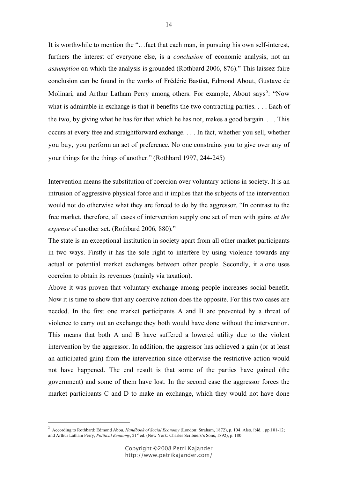It is worthwhile to mention the "...fact that each man, in pursuing his own self-interest, furthers the interest of everyone else, is a *conclusion* of economic analysis, not an *assumption* on which the analysis is grounded (Rothbard 2006, 876)." This laissez-faire conclusion can be found in the works of Frédéric Bastiat, Edmond About, Gustave de Molinari, and Arthur Latham Perry among others. For example, About says<sup>5</sup>: "Now what is admirable in exchange is that it benefits the two contracting parties. . . . Each of the two, by giving what he has for that which he has not, makes a good bargain. . . . This occurs at every free and straightforward exchange. . . . In fact, whether you sell, whether you buy, you perform an act of preference. No one constrains you to give over any of your things for the things of another." (Rothbard 1997, 244-245)

Intervention means the substitution of coercion over voluntary actions in society. It is an intrusion of aggressive physical force and it implies that the subjects of the intervention would not do otherwise what they are forced to do by the aggressor. "In contrast to the free market, therefore, all cases of intervention supply one set of men with gains *at the expense* of another set. (Rothbard 2006, 880)."

The state is an exceptional institution in society apart from all other market participants in two ways. Firstly it has the sole right to interfere by using violence towards any actual or potential market exchanges between other people. Secondly, it alone uses coercion to obtain its revenues (mainly via taxation).

Above it was proven that voluntary exchange among people increases social benefit. Now it is time to show that any coercive action does the opposite. For this two cases are needed. In the first one market participants A and B are prevented by a threat of violence to carry out an exchange they both would have done without the intervention. This means that both A and B have suffered a lowered utility due to the violent intervention by the aggressor. In addition, the aggressor has achieved a gain (or at least an anticipated gain) from the intervention since otherwise the restrictive action would not have happened. The end result is that some of the parties have gained (the government) and some of them have lost. In the second case the aggressor forces the market participants C and D to make an exchange, which they would not have done

 <sup>5</sup> According to Rothbard: Edmond Abou, *Handbook of Social Economy* (London: Straham, 1872), p. 104. Also, ibid. , pp.101-12; and Arthur Latham Perry, *Political Economy*, 21<sup>st</sup> ed. (New York: Charles Scribners's Sons, 1892), p. 180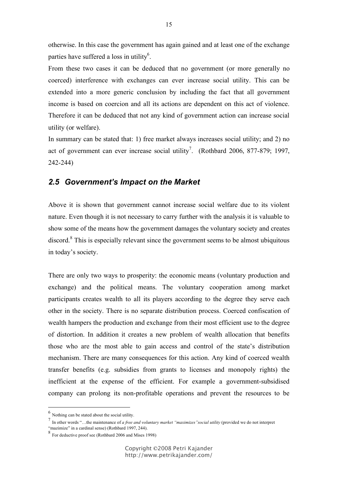otherwise. In this case the government has again gained and at least one of the exchange parties have suffered a loss in utility<sup>6</sup>.

From these two cases it can be deduced that no government (or more generally no coerced) interference with exchanges can ever increase social utility. This can be extended into a more generic conclusion by including the fact that all government income is based on coercion and all its actions are dependent on this act of violence. Therefore it can be deduced that not any kind of government action can increase social utility (or welfare).

In summary can be stated that: 1) free market always increases social utility; and 2) no act of government can ever increase social utility<sup>7</sup>. (Rothbard 2006, 877-879; 1997, 242-244)

#### *2.5 Government's Impact on the Market*

Above it is shown that government cannot increase social welfare due to its violent nature. Even though it is not necessary to carry further with the analysis it is valuable to show some of the means how the government damages the voluntary society and creates discord.<sup>8</sup> This is especially relevant since the government seems to be almost ubiquitous in today's society.

There are only two ways to prosperity: the economic means (voluntary production and exchange) and the political means. The voluntary cooperation among market participants creates wealth to all its players according to the degree they serve each other in the society. There is no separate distribution process. Coerced confiscation of wealth hampers the production and exchange from their most efficient use to the degree of distortion. In addition it creates a new problem of wealth allocation that benefits those who are the most able to gain access and control of the state's distribution mechanism. There are many consequences for this action. Any kind of coerced wealth transfer benefits (e.g. subsidies from grants to licenses and monopoly rights) the inefficient at the expense of the efficient. For example a government-subsidised company can prolong its non-profitable operations and prevent the resources to be

 $<sup>6</sup>$  Nothing can be stated about the social utility.</sup>

<sup>7</sup> In other words "…the maintenance of *<sup>a</sup> free and voluntary market "maximizes"social utility* (provided we do not interpret "mazimize" in a cardinal sense) (Rothbard 1997, 244).

<sup>8</sup> For deductive proof see (Rothbard <sup>2006</sup> and Mises 1998)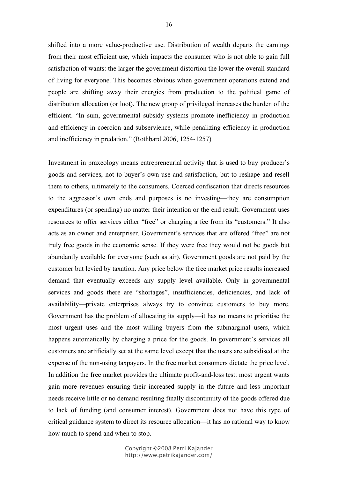shifted into a more value-productive use. Distribution of wealth departs the earnings from their most efficient use, which impacts the consumer who is not able to gain full satisfaction of wants: the larger the government distortion the lower the overall standard of living for everyone. This becomes obvious when government operations extend and people are shifting away their energies from production to the political game of distribution allocation (or loot). The new group of privileged increases the burden of the efficient. "In sum, governmental subsidy systems promote inefficiency in production and efficiency in coercion and subservience, while penalizing efficiency in production and inefficiency in predation." (Rothbard 2006, 1254-1257)

Investment in praxeology means entrepreneurial activity that is used to buy producer's goods and services, not to buyer's own use and satisfaction, but to reshape and resell them to others, ultimately to the consumers. Coerced confiscation that directs resources to the aggressor's own ends and purposes is no investing—they are consumption expenditures (or spending) no matter their intention or the end result. Government uses resources to offer services either "free" or charging a fee from its "customers." It also acts as an owner and enterpriser. Government's services that are offered "free" are not truly free goods in the economic sense. If they were free they would not be goods but abundantly available for everyone (such as air). Government goods are not paid by the customer but levied by taxation. Any price below the free market price results increased demand that eventually exceeds any supply level available. Only in governmental services and goods there are "shortages", insufficiencies, deficiencies, and lack of availability—private enterprises always try to convince customers to buy more. Government has the problem of allocating its supply—it has no means to prioritise the most urgent uses and the most willing buyers from the submarginal users, which happens automatically by charging a price for the goods. In government's services all customers are artificially set at the same level except that the users are subsidised at the expense of the non-using taxpayers. In the free market consumers dictate the price level. In addition the free market provides the ultimate profit-and-loss test: most urgent wants gain more revenues ensuring their increased supply in the future and less important needs receive little or no demand resulting finally discontinuity of the goods offered due to lack of funding (and consumer interest). Government does not have this type of critical guidance system to direct its resource allocation—it has no rational way to know how much to spend and when to stop.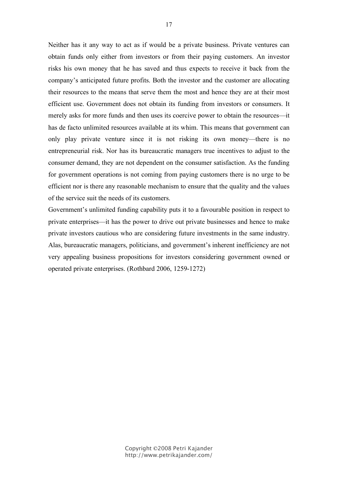Neither has it any way to act as if would be a private business. Private ventures can obtain funds only either from investors or from their paying customers. An investor risks his own money that he has saved and thus expects to receive it back from the company's anticipated future profits. Both the investor and the customer are allocating their resources to the means that serve them the most and hence they are at their most efficient use. Government does not obtain its funding from investors or consumers. It merely asks for more funds and then uses its coercive power to obtain the resources—it has de facto unlimited resources available at its whim. This means that government can only play private venture since it is not risking its own money—there is no entrepreneurial risk. Nor has its bureaucratic managers true incentives to adjust to the consumer demand, they are not dependent on the consumer satisfaction. As the funding for government operations is not coming from paying customers there is no urge to be efficient nor is there any reasonable mechanism to ensure that the quality and the values of the service suit the needs of its customers.

Government's unlimited funding capability puts it to a favourable position in respect to private enterprises—it has the power to drive out private businesses and hence to make private investors cautious who are considering future investments in the same industry. Alas, bureaucratic managers, politicians, and government's inherent inefficiency are not very appealing business propositions for investors considering government owned or operated private enterprises. (Rothbard 2006, 1259-1272)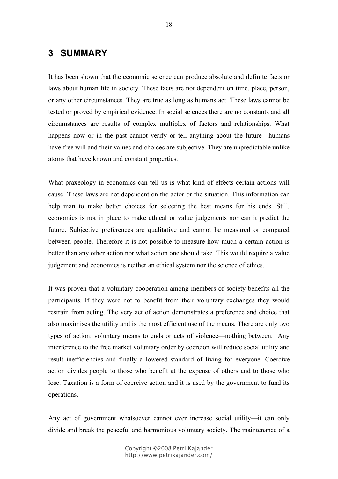## **3 SUMMARY**

It has been shown that the economic science can produce absolute and definite facts or laws about human life in society. These facts are not dependent on time, place, person, or any other circumstances. They are true as long as humans act. These laws cannot be tested or proved by empirical evidence. In social sciences there are no constants and all circumstances are results of complex multiplex of factors and relationships. What happens now or in the past cannot verify or tell anything about the future—humans have free will and their values and choices are subjective. They are unpredictable unlike atoms that have known and constant properties.

What praxeology in economics can tell us is what kind of effects certain actions will cause. These laws are not dependent on the actor or the situation. This information can help man to make better choices for selecting the best means for his ends. Still, economics is not in place to make ethical or value judgements nor can it predict the future. Subjective preferences are qualitative and cannot be measured or compared between people. Therefore it is not possible to measure how much a certain action is better than any other action nor what action one should take. This would require a value judgement and economics is neither an ethical system nor the science of ethics.

It was proven that a voluntary cooperation among members of society benefits all the participants. If they were not to benefit from their voluntary exchanges they would restrain from acting. The very act of action demonstrates a preference and choice that also maximises the utility and is the most efficient use of the means. There are only two types of action: voluntary means to ends or acts of violence—nothing between. Any interference to the free market voluntary order by coercion will reduce social utility and result inefficiencies and finally a lowered standard of living for everyone. Coercive action divides people to those who benefit at the expense of others and to those who lose. Taxation is a form of coercive action and it is used by the government to fund its operations.

Any act of government whatsoever cannot ever increase social utility—it can only divide and break the peaceful and harmonious voluntary society. The maintenance of a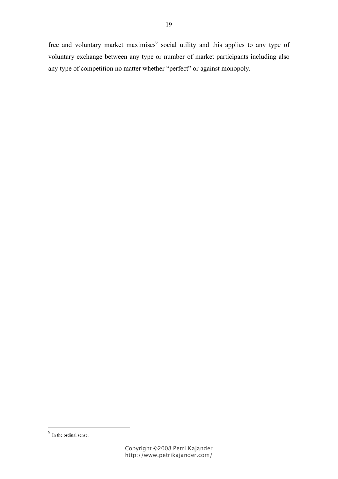free and voluntary market maximises<sup>9</sup> social utility and this applies to any type of voluntary exchange between any type or number of market participants including also any type of competition no matter whether "perfect" or against monopoly.

 <sup>9</sup> In the ordinal sense.